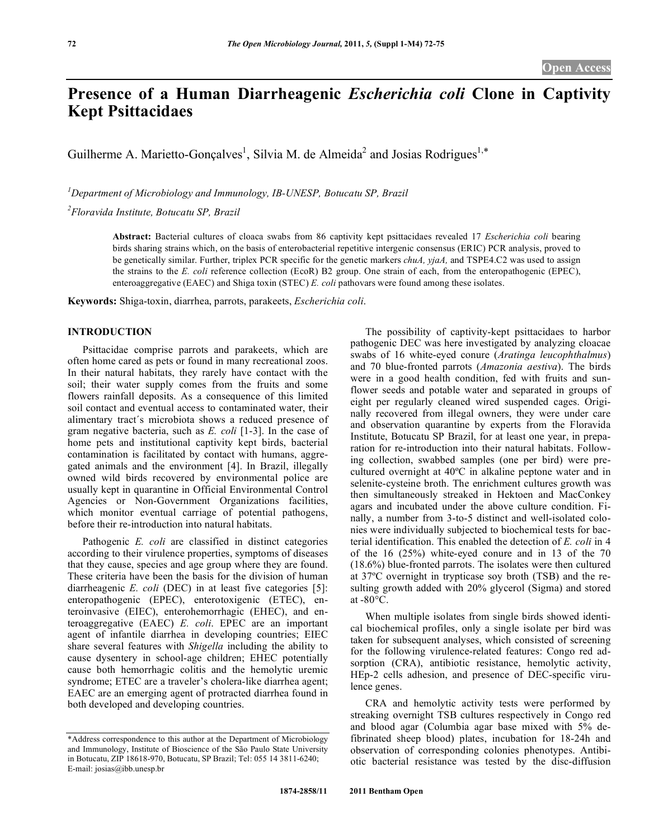## **Presence of a Human Diarrheagenic** *Escherichia coli* **Clone in Captivity Kept Psittacidaes**

Guilherme A. Marietto-Gonçalves<sup>1</sup>, Silvia M. de Almeida<sup>2</sup> and Josias Rodrigues<sup>1,\*</sup>

*1 Department of Microbiology and Immunology, IB-UNESP, Botucatu SP, Brazil 2 Floravida Institute, Botucatu SP, Brazil* 

> **Abstract:** Bacterial cultures of cloaca swabs from 86 captivity kept psittacidaes revealed 17 *Escherichia coli* bearing birds sharing strains which, on the basis of enterobacterial repetitive intergenic consensus (ERIC) PCR analysis, proved to be genetically similar. Further, triplex PCR specific for the genetic markers *chuA, yjaA,* and TSPE4.C2 was used to assign the strains to the *E. coli* reference collection (EcoR) B2 group. One strain of each, from the enteropathogenic (EPEC), enteroaggregative (EAEC) and Shiga toxin (STEC) *E. coli* pathovars were found among these isolates.

**Keywords:** Shiga-toxin, diarrhea, parrots, parakeets, *Escherichia coli*.

## **INTRODUCTION**

 Psittacidae comprise parrots and parakeets, which are often home cared as pets or found in many recreational zoos. In their natural habitats, they rarely have contact with the soil; their water supply comes from the fruits and some flowers rainfall deposits. As a consequence of this limited soil contact and eventual access to contaminated water, their alimentary tract´s microbiota shows a reduced presence of gram negative bacteria, such as *E. coli* [1-3]. In the case of home pets and institutional captivity kept birds, bacterial contamination is facilitated by contact with humans, aggregated animals and the environment [4]. In Brazil, illegally owned wild birds recovered by environmental police are usually kept in quarantine in Official Environmental Control Agencies or Non-Government Organizations facilities, which monitor eventual carriage of potential pathogens, before their re-introduction into natural habitats.

Pathogenic *E. coli* are classified in distinct categories according to their virulence properties, symptoms of diseases that they cause, species and age group where they are found. These criteria have been the basis for the division of human diarrheagenic *E. coli* (DEC) in at least five categories [5]: enteropathogenic (EPEC), enterotoxigenic (ETEC), enteroinvasive (EIEC), enterohemorrhagic (EHEC), and enteroaggregative (EAEC) *E. coli*. EPEC are an important agent of infantile diarrhea in developing countries; EIEC share several features with *Shigella* including the ability to cause dysentery in school-age children; EHEC potentially cause both hemorrhagic colitis and the hemolytic uremic syndrome; ETEC are a traveler's cholera-like diarrhea agent; EAEC are an emerging agent of protracted diarrhea found in both developed and developing countries.

 The possibility of captivity-kept psittacidaes to harbor pathogenic DEC was here investigated by analyzing cloacae swabs of 16 white-eyed conure (*Aratinga leucophthalmus*) and 70 blue-fronted parrots (*Amazonia aestiva*). The birds were in a good health condition, fed with fruits and sunflower seeds and potable water and separated in groups of eight per regularly cleaned wired suspended cages. Originally recovered from illegal owners, they were under care and observation quarantine by experts from the Floravida Institute, Botucatu SP Brazil, for at least one year, in preparation for re-introduction into their natural habitats. Following collection, swabbed samples (one per bird) were precultured overnight at 40ºC in alkaline peptone water and in selenite-cysteine broth. The enrichment cultures growth was then simultaneously streaked in Hektoen and MacConkey agars and incubated under the above culture condition. Finally, a number from 3-to-5 distinct and well-isolated colonies were individually subjected to biochemical tests for bacterial identification. This enabled the detection of *E. coli* in 4 of the 16 (25%) white-eyed conure and in 13 of the 70 (18.6%) blue-fronted parrots. The isolates were then cultured at 37ºC overnight in trypticase soy broth (TSB) and the resulting growth added with 20% glycerol (Sigma) and stored at  $-80^{\circ}$ C.

 When multiple isolates from single birds showed identical biochemical profiles, only a single isolate per bird was taken for subsequent analyses, which consisted of screening for the following virulence-related features: Congo red adsorption (CRA), antibiotic resistance, hemolytic activity, HEp-2 cells adhesion, and presence of DEC-specific virulence genes.

 CRA and hemolytic activity tests were performed by streaking overnight TSB cultures respectively in Congo red and blood agar (Columbia agar base mixed with 5% defibrinated sheep blood) plates, incubation for 18-24h and observation of corresponding colonies phenotypes. Antibiotic bacterial resistance was tested by the disc-diffusion

<sup>\*</sup>Address correspondence to this author at the Department of Microbiology and Immunology, Institute of Bioscience of the São Paulo State University in Botucatu, ZIP 18618-970, Botucatu, SP Brazil; Tel: 055 14 3811-6240; E-mail: josias@ibb.unesp.br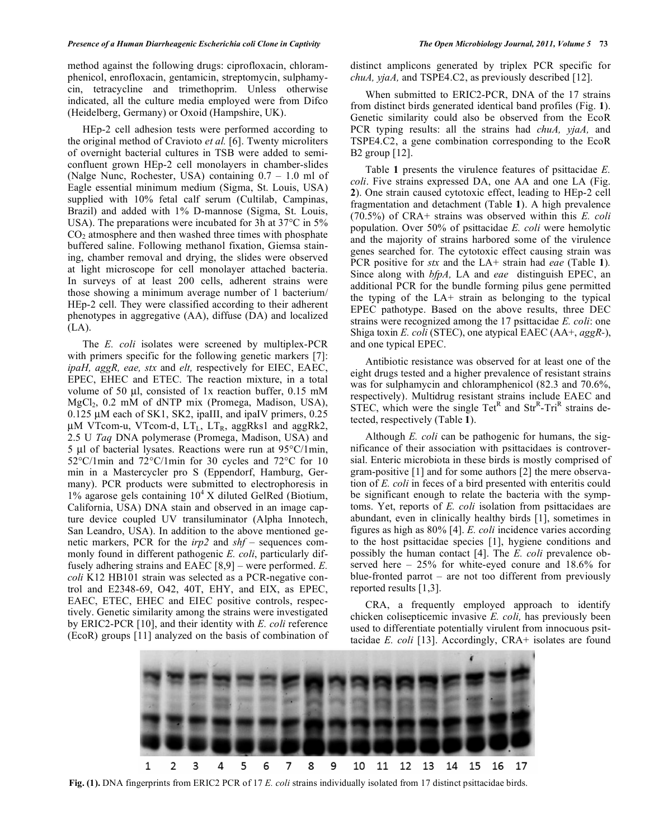method against the following drugs: ciprofloxacin, chloramphenicol, enrofloxacin, gentamicin, streptomycin, sulphamycin, tetracycline and trimethoprim. Unless otherwise indicated, all the culture media employed were from Difco (Heidelberg, Germany) or Oxoid (Hampshire, UK).

 HEp-2 cell adhesion tests were performed according to the original method of Cravioto *et al.* [6]. Twenty microliters of overnight bacterial cultures in TSB were added to semiconfluent grown HEp-2 cell monolayers in chamber-slides (Nalge Nunc, Rochester, USA) containing 0.7 – 1.0 ml of Eagle essential minimum medium (Sigma, St. Louis, USA) supplied with 10% fetal calf serum (Cultilab, Campinas, Brazil) and added with 1% D-mannose (Sigma, St. Louis, USA). The preparations were incubated for 3h at 37°C in 5%  $CO<sub>2</sub>$  atmosphere and then washed three times with phosphate buffered saline. Following methanol fixation, Giemsa staining, chamber removal and drying, the slides were observed at light microscope for cell monolayer attached bacteria. In surveys of at least 200 cells, adherent strains were those showing a minimum average number of 1 bacterium/ HEp-2 cell. They were classified according to their adherent phenotypes in aggregative (AA), diffuse (DA) and localized (LA).

 The *E. coli* isolates were screened by multiplex-PCR with primers specific for the following genetic markers [7]: *ipaH, aggR, eae, stx* and *elt,* respectively for EIEC, EAEC, EPEC, EHEC and ETEC. The reaction mixture, in a total volume of 50 μl, consisted of 1x reaction buffer, 0.15 mM MgCl<sub>2</sub>, 0.2 mM of dNTP mix (Promega, Madison, USA), 0.125 μM each of SK1, SK2, ipaIII, and ipaIV primers, 0.25 μM VTcom-u, VTcom-d,  $LT_{L}$ ,  $LT_{R}$ , aggRks1 and aggRk2, 2.5 U *Taq* DNA polymerase (Promega, Madison, USA) and 5 μl of bacterial lysates. Reactions were run at 95°C/1min, 52°C/1min and 72°C/1min for 30 cycles and 72°C for 10 min in a Mastercycler pro S (Eppendorf, Hamburg, Germany). PCR products were submitted to electrophoresis in 1% agarose gels containing  $10^4$  X diluted GelRed (Biotium, California, USA) DNA stain and observed in an image capture device coupled UV transiluminator (Alpha Innotech, San Leandro, USA). In addition to the above mentioned genetic markers, PCR for the *irp2* and *shf* – sequences commonly found in different pathogenic *E. coli*, particularly diffusely adhering strains and EAEC [8,9] – were performed. *E. coli* K12 HB101 strain was selected as a PCR-negative control and E2348-69, O42, 40T, EHY, and EIX, as EPEC, EAEC, ETEC, EHEC and EIEC positive controls, respectively. Genetic similarity among the strains were investigated by ERIC2-PCR [10], and their identity with *E. coli* reference (EcoR) groups [11] analyzed on the basis of combination of distinct amplicons generated by triplex PCR specific for *chuA, yjaA,* and TSPE4.C2, as previously described [12].

 When submitted to ERIC2-PCR, DNA of the 17 strains from distinct birds generated identical band profiles (Fig. **1**). Genetic similarity could also be observed from the EcoR PCR typing results: all the strains had *chuA, yjaA,* and TSPE4.C2, a gene combination corresponding to the EcoR B2 group [12].

 Table **1** presents the virulence features of psittacidae *E. coli*. Five strains expressed DA, one AA and one LA (Fig. **2**). One strain caused cytotoxic effect, leading to HEp-2 cell fragmentation and detachment (Table **1**). A high prevalence (70.5%) of CRA+ strains was observed within this *E. coli*  population. Over 50% of psittacidae *E. coli* were hemolytic and the majority of strains harbored some of the virulence genes searched for*.* The cytotoxic effect causing strain was PCR positive for *stx* and the LA+ strain had *eae* (Table **1**)*.*  Since along with *bfpA,* LA and *eae* distinguish EPEC, an additional PCR for the bundle forming pilus gene permitted the typing of the LA+ strain as belonging to the typical EPEC pathotype. Based on the above results, three DEC strains were recognized among the 17 psittacidae *E. coli*: one Shiga toxin *E. coli* (STEC), one atypical EAEC (AA+, *aggR-*), and one typical EPEC.

 Antibiotic resistance was observed for at least one of the eight drugs tested and a higher prevalence of resistant strains was for sulphamycin and chloramphenicol (82.3 and 70.6%, respectively). Multidrug resistant strains include EAEC and STEC, which were the single Tet<sup>R</sup> and Str<sup>R</sup>-Tri<sup>R</sup> strains detected, respectively (Table **1**).

 Although *E. coli* can be pathogenic for humans, the significance of their association with psittacidaes is controversial. Enteric microbiota in these birds is mostly comprised of gram-positive [1] and for some authors [2] the mere observation of *E. coli* in feces of a bird presented with enteritis could be significant enough to relate the bacteria with the symptoms. Yet, reports of *E. coli* isolation from psittacidaes are abundant, even in clinically healthy birds [1], sometimes in figures as high as 80% [4]. *E. coli* incidence varies according to the host psittacidae species [1], hygiene conditions and possibly the human contact [4]. The *E. coli* prevalence observed here – 25% for white-eyed conure and 18.6% for blue-fronted parrot – are not too different from previously reported results [1,3].

 CRA, a frequently employed approach to identify chicken colisepticemic invasive *E. coli,* has previously been used to differentiate potentially virulent from innocuous psittacidae *E. coli* [13]. Accordingly, CRA+ isolates are found



**Fig. (1).** DNA fingerprints from ERIC2 PCR of 17 *E. coli* strains individually isolated from 17 distinct psittacidae birds.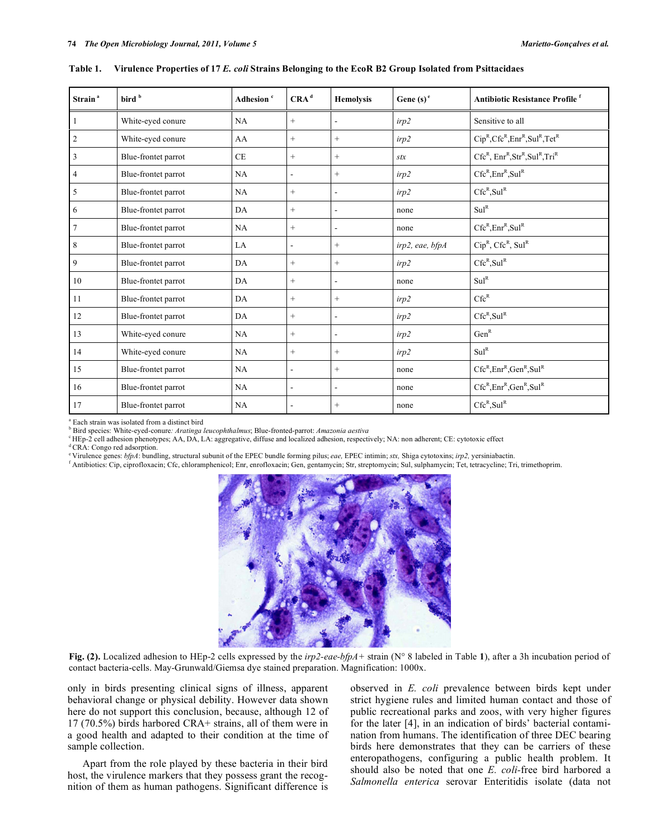| Strain <sup>a</sup> | bird <sup>b</sup>   | Adhesion <sup>c</sup> | CRA <sup>d</sup> | <b>Hemolysis</b>         | Gene $(s)$ <sup>e</sup> | <b>Antibiotic Resistance Profile</b> <sup>f</sup> |
|---------------------|---------------------|-----------------------|------------------|--------------------------|-------------------------|---------------------------------------------------|
|                     | White-eyed conure   | NA                    | $^{+}$           | $\blacksquare$           | irp2                    | Sensitive to all                                  |
| $\overline{2}$      | White-eyed conure   | AA                    | $^{+}$           | $\qquad \qquad +$        | irp2                    | $Cip^R, Cfc^R, Enr^R, Sul^R, Tet^R$               |
| 3                   | Blue-frontet parrot | <b>CE</b>             | $^{+}$           | $^{+}$                   | stx                     | $CfcR$ , $EnrR$ , $StrR$ , $SulR$ , $TriR$        |
| $\overline{4}$      | Blue-frontet parrot | NA                    | $\blacksquare$   | $^{+}$                   | irp2                    | $Cfc^R, Enr^R, Sul^R$                             |
| 5                   | Blue-frontet parrot | NA                    | $^{+}$           | $\overline{a}$           | irp2                    | $Cfc^R, Sul^R$                                    |
| 6                   | Blue-frontet parrot | DA                    | $^{+}$           | $\overline{\phantom{a}}$ | none                    | Sul <sup>R</sup>                                  |
| 7                   | Blue-frontet parrot | NA                    | $^{+}$           | $\overline{\phantom{a}}$ | none                    | $Cfc^R$ , Enr <sup>R</sup> , Sul <sup>R</sup>     |
| 8                   | Blue-frontet parrot | LA                    | ٠                | $^{+}$                   | irp2, eae, bfpA         | $Cip^R$ , $Cfc^R$ , $Sul^R$                       |
| 9                   | Blue-frontet parrot | DA                    | $^{+}$           | $\! + \!\!\!\!$          | irp2                    | $Cfc^R, Sul^R$                                    |
| 10                  | Blue-frontet parrot | DA                    | $^{+}$           | $\overline{\phantom{a}}$ | none                    | Sul <sup>R</sup>                                  |
| 11                  | Blue-frontet parrot | DA                    | $^{+}$           | $^{+}$                   | irp2                    | $Cfc^R$                                           |
| 12                  | Blue-frontet parrot | DA                    | $^{+}$           | $\overline{\phantom{a}}$ | irp2                    | $Cfc^R, Sul^R$                                    |
| 13                  | White-eyed conure   | NA                    | $^{+}$           | $\overline{\phantom{a}}$ | irp2                    | Gen <sup>R</sup>                                  |
| 14                  | White-eyed conure   | NA                    | $^{+}$           | $^{+}$                   | irp2                    | Sul <sup>R</sup>                                  |
| 15                  | Blue-frontet parrot | NA                    | $\blacksquare$   | $+$                      | none                    | $Cfc^R, Enr^R, Gen^R, Sul^R$                      |
| 16                  | Blue-frontet parrot | NA                    | ٠                | $\blacksquare$           | none                    | $Cfc^R, Enr^R, Gen^R, Sul^R$                      |
| 17                  | Blue-frontet parrot | NA                    |                  | $^{+}$                   | none                    | Cfc <sup>R</sup> , Su1 <sup>R</sup>               |

**Table 1. Virulence Properties of 17** *E. coli* **Strains Belonging to the EcoR B2 Group Isolated from Psittacidaes** 

a Each strain was isolated from a distinct bird

b Bird species: White-eyed-conure*: Aratinga leucophthalmus*; Blue-fronted-parrot: *Amazonia aestiva*

c HEp-2 cell adhesion phenotypes; AA, DA, LA: aggregative, diffuse and localized adhesion, respectively; NA: non adherent; CE: cytotoxic effect

<sup>d</sup> CRA: Congo red adsorption.

e Virulence genes: *bfpA*: bundling, structural subunit of the EPEC bundle forming pilus; *eae,* EPEC intimin; *stx,* Shiga cytotoxins; *irp2,* yersiniabactin. f

Antibiotics: Cip, ciprofloxacin; Cfc, chloramphenicol; Enr, enrofloxacin; Gen, gentamycin; Str, streptomycin; Sul, sulphamycin; Tet, tetracycline; Tri, trimethoprim.



**Fig. (2).** Localized adhesion to HEp-2 cells expressed by the *irp2-eae-bfpA+* strain (N° 8 labeled in Table **1**), after a 3h incubation period of contact bacteria-cells. May-Grunwald/Giemsa dye stained preparation. Magnification: 1000x.

only in birds presenting clinical signs of illness, apparent behavioral change or physical debility. However data shown here do not support this conclusion, because, although 12 of 17 (70.5%) birds harbored CRA+ strains, all of them were in a good health and adapted to their condition at the time of sample collection.

 Apart from the role played by these bacteria in their bird host, the virulence markers that they possess grant the recognition of them as human pathogens. Significant difference is observed in *E. coli* prevalence between birds kept under strict hygiene rules and limited human contact and those of public recreational parks and zoos, with very higher figures for the later [4], in an indication of birds' bacterial contamination from humans. The identification of three DEC bearing birds here demonstrates that they can be carriers of these enteropathogens, configuring a public health problem. It should also be noted that one *E. coli-*free bird harbored a *Salmonella enterica* serovar Enteritidis isolate (data not